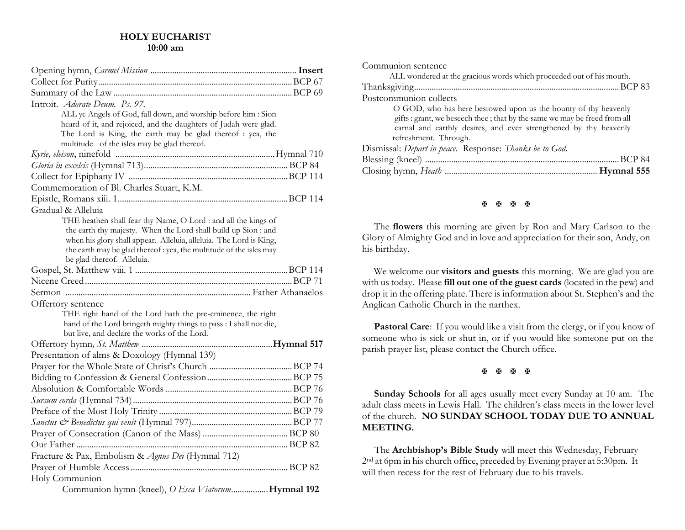#### **HOLY EUCHARIST 10:00 am**

| Introit. Adorate Deum. Ps. 97.                                                                                     |  |
|--------------------------------------------------------------------------------------------------------------------|--|
| ALL ye Angels of God, fall down, and worship before him : Sion                                                     |  |
| heard of it, and rejoiced, and the daughters of Judah were glad.                                                   |  |
| The Lord is King, the earth may be glad thereof : yea, the                                                         |  |
| multitude of the isles may be glad thereof.                                                                        |  |
|                                                                                                                    |  |
|                                                                                                                    |  |
|                                                                                                                    |  |
| Commemoration of Bl. Charles Stuart, K.M.                                                                          |  |
|                                                                                                                    |  |
| Gradual & Alleluia                                                                                                 |  |
| THE heathen shall fear thy Name, O Lord : and all the kings of                                                     |  |
| the earth thy majesty. When the Lord shall build up Sion : and                                                     |  |
| when his glory shall appear. Alleluia, alleluia. The Lord is King,                                                 |  |
| the earth may be glad thereof: yea, the multitude of the isles may                                                 |  |
| be glad thereof. Alleluia.                                                                                         |  |
|                                                                                                                    |  |
|                                                                                                                    |  |
|                                                                                                                    |  |
| Offertory sentence                                                                                                 |  |
| THE right hand of the Lord hath the pre-eminence, the right                                                        |  |
| hand of the Lord bringeth mighty things to pass : I shall not die,<br>but live, and declare the works of the Lord. |  |
|                                                                                                                    |  |
| Presentation of alms & Doxology (Hymnal 139)                                                                       |  |
|                                                                                                                    |  |
|                                                                                                                    |  |
|                                                                                                                    |  |
|                                                                                                                    |  |
|                                                                                                                    |  |
|                                                                                                                    |  |
|                                                                                                                    |  |
|                                                                                                                    |  |
| Fracture & Pax, Embolism & Agnus Dei (Hymnal 712)                                                                  |  |
|                                                                                                                    |  |
| Holy Communion                                                                                                     |  |
|                                                                                                                    |  |
| Communion hymn (kneel), O Esca ViatorumHymnal 192                                                                  |  |

| Communion sentence                                                                                                                                                                                                                          |
|---------------------------------------------------------------------------------------------------------------------------------------------------------------------------------------------------------------------------------------------|
| ALL wondered at the gracious words which proceeded out of his mouth.                                                                                                                                                                        |
|                                                                                                                                                                                                                                             |
| Postcommunion collects                                                                                                                                                                                                                      |
| O GOD, who has here bestowed upon us the bounty of thy heavenly<br>gifts : grant, we beseech thee ; that by the same we may be freed from all<br>carnal and earthly desires, and ever strengthened by thy heavenly<br>refreshment. Through. |
| Dismissal: Depart in peace. Response: Thanks be to God.                                                                                                                                                                                     |
|                                                                                                                                                                                                                                             |
|                                                                                                                                                                                                                                             |

#### **图图图图**

The **flowers** this morning are given by Ron and Mary Carlson to the Glory of Almighty God and in love and appreciation for their son, Andy, on his birthday.

We welcome our **visitors and guests** this morning. We are glad you are with us today. Please **fill out one of the guest cards** (located in the pew) and drop it in the offering plate. There is information about St. Stephen's and the Anglican Catholic Church in the narthex.

Pastoral Care: If you would like a visit from the clergy, or if you know of someone who is sick or shut in, or if you would like someone put on the parish prayer list, please contact the Church office.

## **H H H H**

**Sunday Schools** for all ages usually meet every Sunday at 10 am. The adult class meets in Lewis Hall. The children's class meets in the lower level of the church. **NO SUNDAY SCHOOL TODAY DUE TO ANNUAL MEETING.**

 The **Archbishop's Bible Study** will meet this Wednesday, February 2nd at 6pm in his church office, preceded by Evening prayer at 5:30pm. It will then recess for the rest of February due to his travels.